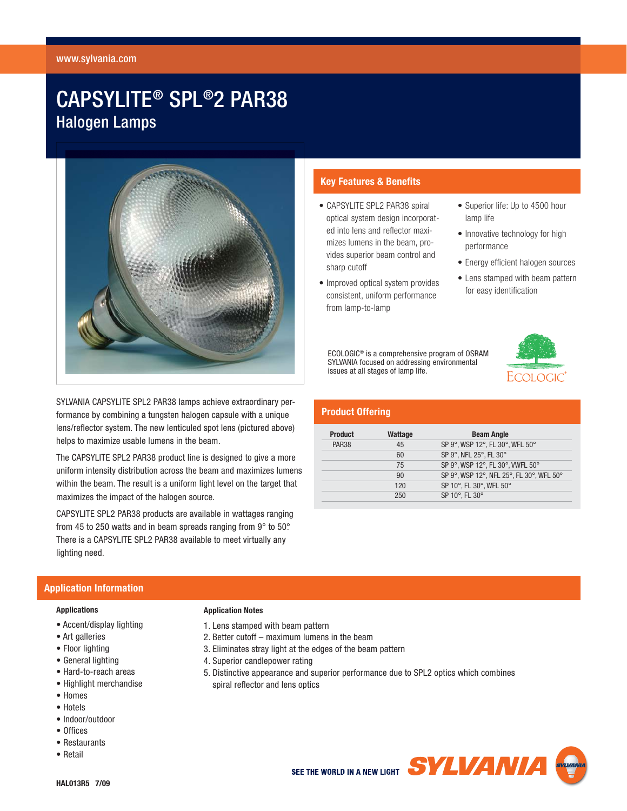#### www.sylvania.com

# CAPSYLITE® SPL®2 PAR38 Halogen Lamps



SYLVANIA CAPSYLITE SPL2 PAR38 lamps achieve extraordinary performance by combining a tungsten halogen capsule with a unique lens/reflector system. The new lenticuled spot lens (pictured above) helps to maximize usable lumens in the beam.

The CAPSYLITE SPL2 PAR38 product line is designed to give a more uniform intensity distribution across the beam and maximizes lumens within the beam. The result is a uniform light level on the target that maximizes the impact of the halogen source.

CAPSYLITE SPL2 PAR38 products are available in wattages ranging from 45 to 250 watts and in beam spreads ranging from 9° to 50°. There is a CAPSYLITE SPL2 PAR38 available to meet virtually any lighting need.

# **Key Features & Benefits**

- CAPSYLITE SPL2 PAR38 spiral optical system design incorporated into lens and reflector maximizes lumens in the beam, provides superior beam control and sharp cutoff
- Improved optical system provides consistent, uniform performance from lamp-to-lamp
- Superior life: Up to 4500 hour lamp life
- Innovative technology for high performance
- Energy efficient halogen sources
- Lens stamped with beam pattern for easy identification

ECOLOGIC® is a comprehensive program of OSRAM SYLVANIA focused on addressing environmental issues at all stages of lamp life.

# **Product Offering**

| <b>Product</b> | Wattage | <b>Beam Angle</b>                        |  |  |  |  |
|----------------|---------|------------------------------------------|--|--|--|--|
| <b>PAR38</b>   | 45      | SP 9°, WSP 12°, FL 30°, WFL 50°          |  |  |  |  |
|                | 60      | SP 9°, NFL 25°, FL 30°                   |  |  |  |  |
|                | 75      | SP 9°, WSP 12°, FL 30°, VWFL 50°         |  |  |  |  |
|                | 90      | SP 9°, WSP 12°, NFL 25°, FL 30°, WFL 50° |  |  |  |  |
|                | 120     | SP 10°, FL 30°, WFL 50°                  |  |  |  |  |
|                | 250     | SP 10°, FL 30°                           |  |  |  |  |

## **Application Information**

#### **Applications**

- Accent/display lighting
- Art galleries
- Floor lighting
- General lighting
- Hard-to-reach areas
- Highlight merchandise
- Homes
- Hotels
- Indoor/outdoor
- Offices
- Restaurants
- Retail



4. Superior candlepower rating

1. Lens stamped with beam pattern

**Application Notes**

5. Distinctive appearance and superior performance due to SPL2 optics which combines spiral reflector and lens optics

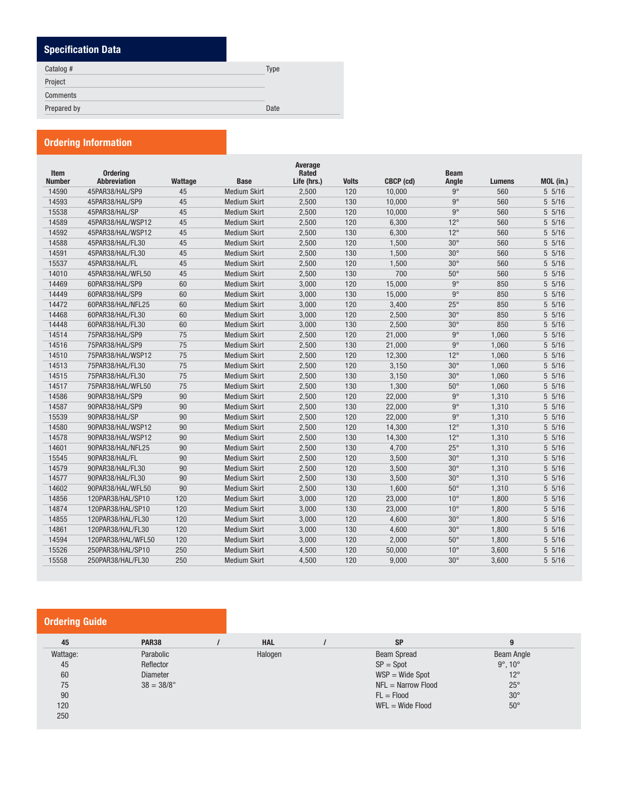# **Specification Data**

| Catalog #   | <b>Type</b> |
|-------------|-------------|
| Project     |             |
| Comments    |             |
| Prepared by | Date        |
|             |             |

# **Ordering Information**

| Item          | <b>Ordering</b>     |         |                     | Average<br>Rated |              |           | <b>Beam</b>  |               |           |
|---------------|---------------------|---------|---------------------|------------------|--------------|-----------|--------------|---------------|-----------|
| <b>Number</b> | <b>Abbreviation</b> | Wattage | <b>Base</b>         | Life (hrs.)      | <b>Volts</b> | CBCP (cd) | Angle        | <b>Lumens</b> | MOL (in.) |
| 14590         | 45PAR38/HAL/SP9     | 45      | <b>Medium Skirt</b> | 2,500            | 120          | 10,000    | $9^\circ$    | 560           | 5 5/16    |
| 14593         | 45PAR38/HAL/SP9     | 45      | <b>Medium Skirt</b> | 2,500            | 130          | 10,000    | $9^\circ$    | 560           | $5\;5/16$ |
| 15538         | 45PAR38/HAL/SP      | 45      | <b>Medium Skirt</b> | 2,500            | 120          | 10,000    | $9^\circ$    | 560           | 5 5/16    |
| 14589         | 45PAR38/HAL/WSP12   | 45      | <b>Medium Skirt</b> | 2,500            | 120          | 6,300     | $12^{\circ}$ | 560           | $5\;5/16$ |
| 14592         | 45PAR38/HAL/WSP12   | 45      | <b>Medium Skirt</b> | 2,500            | 130          | 6,300     | $12^{\circ}$ | 560           | $5\;5/16$ |
| 14588         | 45PAR38/HAL/FL30    | 45      | <b>Medium Skirt</b> | 2,500            | 120          | 1,500     | $30^\circ$   | 560           | 5 5/16    |
| 14591         | 45PAR38/HAL/FL30    | 45      | <b>Medium Skirt</b> | 2,500            | 130          | 1,500     | $30^\circ$   | 560           | 5 5/16    |
| 15537         | 45PAR38/HAL/FL      | 45      | <b>Medium Skirt</b> | 2,500            | 120          | 1,500     | $30^\circ$   | 560           | $5\;5/16$ |
| 14010         | 45PAR38/HAL/WFL50   | 45      | <b>Medium Skirt</b> | 2,500            | 130          | 700       | $50^\circ$   | 560           | $5\;5/16$ |
| 14469         | 60PAR38/HAL/SP9     | 60      | <b>Medium Skirt</b> | 3,000            | 120          | 15,000    | $9^\circ$    | 850           | 5 5/16    |
| 14449         | 60PAR38/HAL/SP9     | 60      | <b>Medium Skirt</b> | 3,000            | 130          | 15,000    | $9^\circ$    | 850           | $5\;5/16$ |
| 14472         | 60PAR38/HAL/NFL25   | 60      | <b>Medium Skirt</b> | 3,000            | 120          | 3,400     | $25^{\circ}$ | 850           | 5 5/16    |
| 14468         | 60PAR38/HAL/FL30    | 60      | <b>Medium Skirt</b> | 3,000            | 120          | 2,500     | $30^\circ$   | 850           | $5\;5/16$ |
| 14448         | 60PAR38/HAL/FL30    | 60      | <b>Medium Skirt</b> | 3,000            | 130          | 2,500     | $30^\circ$   | 850           | $5\;5/16$ |
| 14514         | 75PAR38/HAL/SP9     | 75      | <b>Medium Skirt</b> | 2,500            | 120          | 21,000    | $9^\circ$    | 1,060         | 5 5/16    |
| 14516         | 75PAR38/HAL/SP9     | 75      | <b>Medium Skirt</b> | 2,500            | 130          | 21,000    | $9^\circ$    | 1,060         | 5 5/16    |
| 14510         | 75PAR38/HAL/WSP12   | 75      | <b>Medium Skirt</b> | 2,500            | 120          | 12,300    | $12^{\circ}$ | 1,060         | $5\;5/16$ |
| 14513         | 75PAR38/HAL/FL30    | 75      | <b>Medium Skirt</b> | 2,500            | 120          | 3,150     | $30^\circ$   | 1.060         | $5\;5/16$ |
| 14515         | 75PAR38/HAL/FL30    | 75      | <b>Medium Skirt</b> | 2,500            | 130          | 3,150     | $30^\circ$   | 1,060         | 5 5/16    |
| 14517         | 75PAR38/HAL/WFL50   | 75      | <b>Medium Skirt</b> | 2,500            | 130          | 1,300     | $50^\circ$   | 1,060         | $5\;5/16$ |
| 14586         | 90PAR38/HAL/SP9     | 90      | <b>Medium Skirt</b> | 2,500            | 120          | 22,000    | $9^{\circ}$  | 1,310         | 5 5/16    |
| 14587         | 90PAR38/HAL/SP9     | 90      | <b>Medium Skirt</b> | 2,500            | 130          | 22,000    | $9^\circ$    | 1,310         | 5 5/16    |
| 15539         | 90PAR38/HAL/SP      | 90      | <b>Medium Skirt</b> | 2,500            | 120          | 22,000    | $9^{\circ}$  | 1,310         | $5\;5/16$ |
| 14580         | 90PAR38/HAL/WSP12   | 90      | <b>Medium Skirt</b> | 2,500            | 120          | 14,300    | $12^{\circ}$ | 1,310         | $5\;5/16$ |
| 14578         | 90PAR38/HAL/WSP12   | 90      | <b>Medium Skirt</b> | 2,500            | 130          | 14,300    | $12^{\circ}$ | 1,310         | $5\;5/16$ |
| 14601         | 90PAR38/HAL/NFL25   | 90      | <b>Medium Skirt</b> | 2,500            | 130          | 4,700     | $25^{\circ}$ | 1,310         | $5\;5/16$ |
| 15545         | 90PAR38/HAL/FL      | 90      | <b>Medium Skirt</b> | 2,500            | 120          | 3,500     | $30^\circ$   | 1,310         | 5 5/16    |
| 14579         | 90PAR38/HAL/FL30    | 90      | <b>Medium Skirt</b> | 2,500            | 120          | 3,500     | $30^\circ$   | 1,310         | $5\;5/16$ |
| 14577         | 90PAR38/HAL/FL30    | 90      | <b>Medium Skirt</b> | 2,500            | 130          | 3,500     | $30^\circ$   | 1,310         | $5\;5/16$ |
| 14602         | 90PAR38/HAL/WFL50   | 90      | <b>Medium Skirt</b> | 2,500            | 130          | 1,600     | $50^{\circ}$ | 1,310         | $5\;5/16$ |
| 14856         | 120PAR38/HAL/SP10   | 120     | <b>Medium Skirt</b> | 3,000            | 120          | 23,000    | $10^{\circ}$ | 1,800         | $5\;5/16$ |
| 14874         | 120PAR38/HAL/SP10   | 120     | <b>Medium Skirt</b> | 3,000            | 130          | 23,000    | $10^{\circ}$ | 1,800         | $5\;5/16$ |
| 14855         | 120PAR38/HAL/FL30   | 120     | <b>Medium Skirt</b> | 3,000            | 120          | 4,600     | $30^\circ$   | 1,800         | $5\;5/16$ |
| 14861         | 120PAR38/HAL/FL30   | 120     | <b>Medium Skirt</b> | 3,000            | 130          | 4,600     | $30^\circ$   | 1,800         | $5\;5/16$ |
| 14594         | 120PAR38/HAL/WFL50  | 120     | <b>Medium Skirt</b> | 3,000            | 120          | 2,000     | $50^\circ$   | 1,800         | 5 5/16    |
| 15526         | 250PAR38/HAL/SP10   | 250     | <b>Medium Skirt</b> | 4,500            | 120          | 50,000    | $10^{\circ}$ | 3,600         | 5 5/16    |
| 15558         | 250PAR38/HAL/FL30   | 250     | <b>Medium Skirt</b> | 4,500            | 120          | 9,000     | $30^\circ$   | 3,600         | $5\;5/16$ |
|               |                     |         |                     |                  |              |           |              |               |           |

# **Ordering Guide**

| 45       | <b>PAR38</b>    | <b>HAL</b> | <b>SP</b>                   | 9                      |
|----------|-----------------|------------|-----------------------------|------------------------|
| Wattage: | Parabolic       | Halogen    | <b>Beam Spread</b>          | Beam Angle             |
| 45       | Reflector       |            | $SP = Spot$                 | $9^\circ$ , $10^\circ$ |
| 60       | <b>Diameter</b> |            | $WSP = Wide Spot$           | $12^{\circ}$           |
| 75       | $38 = 38/8"$    |            | $NFL = \text{Narrow}$ Flood | $25^{\circ}$           |
| 90       |                 |            | $FL = Flood$                | $30^\circ$             |
| 120      |                 |            | $WFL = Wide Flood$          | $50^\circ$             |
| 250      |                 |            |                             |                        |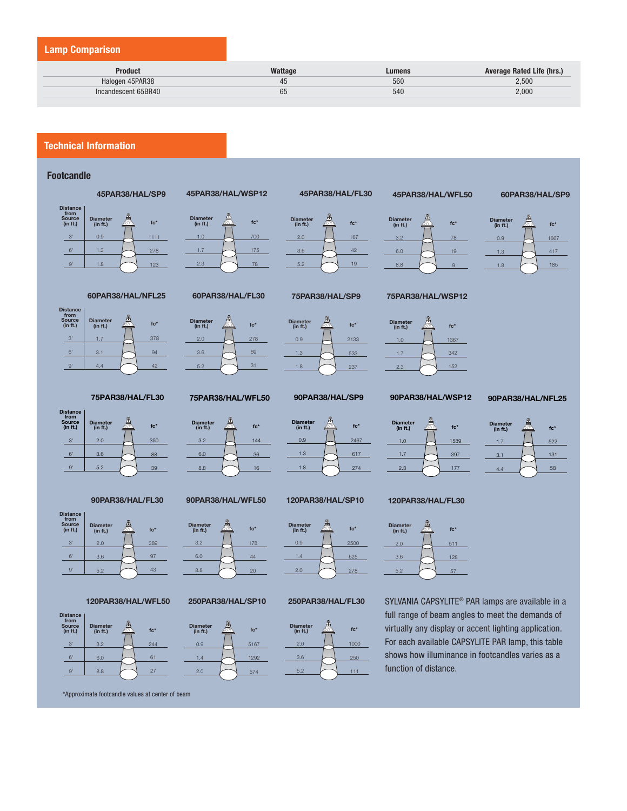### **Lamp Comparison**

| Product             | Wattage | Lumens | <b>Average Rated Life (hrs.)</b> |
|---------------------|---------|--------|----------------------------------|
| Halogen 45PAR38     | 45      | 560    | 2.500                            |
| Incandescent 65BR40 | 65      | 540    | 2.000                            |

**Diameter (in ft.)** 2.0 3.6 5.2

## **Technical Information**

#### **Footcandle**

















#### **120PAR38/HAL/WFL50**



\*Approximate footcandle values at center of beam



**45PAR38/HAL/WSP12**



**75PAR38/HAL/WFL50**

**fixalled fixalled fc\*** 

3.2 6.0 8.8

144 36 16



167 42 19

**fc\***

**45PAR38/HAL/FL30**



**90PAR38/HAL/SP9**

**final final fier** *fc***\*** 

**120PAR38/HAL/SP10**

0.9 1.3 1.8 2467 617 274



3.2 6.0 8.8



**45PAR38/HAL/WFL50**

**figure 1 fc**\*

78 19 9



#### **90PAR38/HAL/WSP12**



**120PAR38/HAL/FL30**

**figure 1 fc**\*

2.0 3.6

522 131 58 **Diameter (in ft.)** 1.7 3.1 4.4 **fc\***

**90PAR38/HAL/WFL50**



#### **250PAR38/HAL/SP10**



1.4 2.0





#### **250PAR38/HAL/FL30**





511 128

# For each available CAPSYLITE PAR lamp, this table shows how illuminance in footcandles varies as a function of distance.



1667 417 185

**fc\***

**60PAR38/HAL/SP9**

**Diameter (in ft.)** 0.9 1.3 1.8